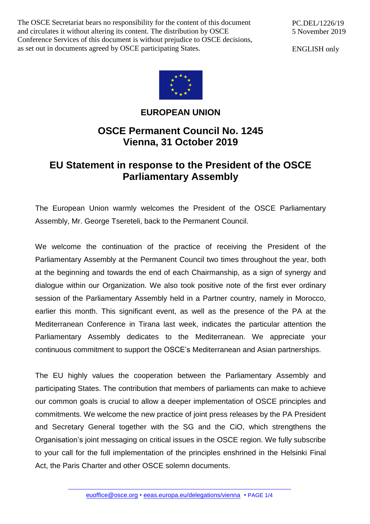The OSCE Secretariat bears no responsibility for the content of this document and circulates it without altering its content. The distribution by OSCE Conference Services of this document is without prejudice to OSCE decisions, as set out in documents agreed by OSCE participating States.

PC.DEL/1226/19 5 November 2019

ENGLISH only



## **EUROPEAN UNION**

## **OSCE Permanent Council No. 1245 Vienna, 31 October 2019**

## **EU Statement in response to the President of the OSCE Parliamentary Assembly**

The European Union warmly welcomes the President of the OSCE Parliamentary Assembly, Mr. George Tsereteli, back to the Permanent Council.

We welcome the continuation of the practice of receiving the President of the Parliamentary Assembly at the Permanent Council two times throughout the year, both at the beginning and towards the end of each Chairmanship, as a sign of synergy and dialogue within our Organization. We also took positive note of the first ever ordinary session of the Parliamentary Assembly held in a Partner country, namely in Morocco, earlier this month. This significant event, as well as the presence of the PA at the Mediterranean Conference in Tirana last week, indicates the particular attention the Parliamentary Assembly dedicates to the Mediterranean. We appreciate your continuous commitment to support the OSCE's Mediterranean and Asian partnerships.

The EU highly values the cooperation between the Parliamentary Assembly and participating States. The contribution that members of parliaments can make to achieve our common goals is crucial to allow a deeper implementation of OSCE principles and commitments. We welcome the new practice of joint press releases by the PA President and Secretary General together with the SG and the CiO, which strengthens the Organisation's joint messaging on critical issues in the OSCE region. We fully subscribe to your call for the full implementation of the principles enshrined in the Helsinki Final Act, the Paris Charter and other OSCE solemn documents.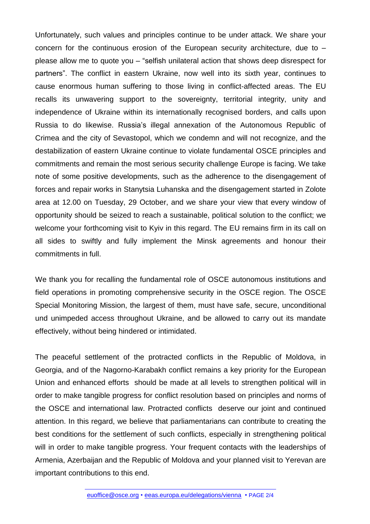Unfortunately, such values and principles continue to be under attack. We share your concern for the continuous erosion of the European security architecture, due to – please allow me to quote you – "selfish unilateral action that shows deep disrespect for partners". The conflict in eastern Ukraine, now well into its sixth year, continues to cause enormous human suffering to those living in conflict-affected areas. The EU recalls its unwavering support to the sovereignty, territorial integrity, unity and independence of Ukraine within its internationally recognised borders, and calls upon Russia to do likewise. Russia's illegal annexation of the Autonomous Republic of Crimea and the city of Sevastopol, which we condemn and will not recognize, and the destabilization of eastern Ukraine continue to violate fundamental OSCE principles and commitments and remain the most serious security challenge Europe is facing. We take note of some positive developments, such as the adherence to the disengagement of forces and repair works in Stanytsia Luhanska and the disengagement started in Zolote area at 12.00 on Tuesday, 29 October, and we share your view that every window of opportunity should be seized to reach a sustainable, political solution to the conflict; we welcome your forthcoming visit to Kyiv in this regard. The EU remains firm in its call on all sides to swiftly and fully implement the Minsk agreements and honour their commitments in full.

We thank you for recalling the fundamental role of OSCE autonomous institutions and field operations in promoting comprehensive security in the OSCE region. The OSCE Special Monitoring Mission, the largest of them, must have safe, secure, unconditional und unimpeded access throughout Ukraine, and be allowed to carry out its mandate effectively, without being hindered or intimidated.

The peaceful settlement of the protracted conflicts in the Republic of Moldova, in Georgia, and of the Nagorno-Karabakh conflict remains a key priority for the European Union and enhanced efforts should be made at all levels to strengthen political will in order to make tangible progress for conflict resolution based on principles and norms of the OSCE and international law. Protracted conflicts deserve our joint and continued attention. In this regard, we believe that parliamentarians can contribute to creating the best conditions for the settlement of such conflicts, especially in strengthening political will in order to make tangible progress. Your frequent contacts with the leaderships of Armenia, Azerbaijan and the Republic of Moldova and your planned visit to Yerevan are important contributions to this end.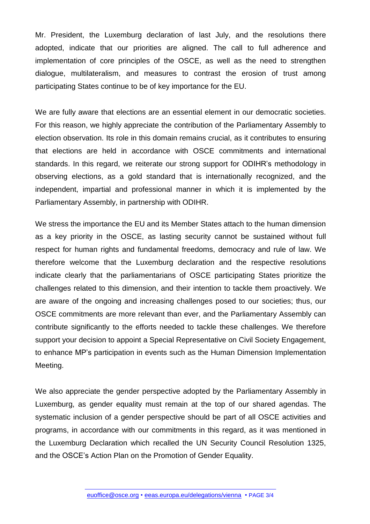Mr. President, the Luxemburg declaration of last July, and the resolutions there adopted, indicate that our priorities are aligned. The call to full adherence and implementation of core principles of the OSCE, as well as the need to strengthen dialogue, multilateralism, and measures to contrast the erosion of trust among participating States continue to be of key importance for the EU.

We are fully aware that elections are an essential element in our democratic societies. For this reason, we highly appreciate the contribution of the Parliamentary Assembly to election observation. Its role in this domain remains crucial, as it contributes to ensuring that elections are held in accordance with OSCE commitments and international standards. In this regard, we reiterate our strong support for ODIHR's methodology in observing elections, as a gold standard that is internationally recognized, and the independent, impartial and professional manner in which it is implemented by the Parliamentary Assembly, in partnership with ODIHR.

We stress the importance the EU and its Member States attach to the human dimension as a key priority in the OSCE, as lasting security cannot be sustained without full respect for human rights and fundamental freedoms, democracy and rule of law. We therefore welcome that the Luxemburg declaration and the respective resolutions indicate clearly that the parliamentarians of OSCE participating States prioritize the challenges related to this dimension, and their intention to tackle them proactively. We are aware of the ongoing and increasing challenges posed to our societies; thus, our OSCE commitments are more relevant than ever, and the Parliamentary Assembly can contribute significantly to the efforts needed to tackle these challenges. We therefore support your decision to appoint a Special Representative on Civil Society Engagement, to enhance MP's participation in events such as the Human Dimension Implementation Meeting.

We also appreciate the gender perspective adopted by the Parliamentary Assembly in Luxemburg, as gender equality must remain at the top of our shared agendas. The systematic inclusion of a gender perspective should be part of all OSCE activities and programs, in accordance with our commitments in this regard, as it was mentioned in the Luxemburg Declaration which recalled the UN Security Council Resolution 1325, and the OSCE's Action Plan on the Promotion of Gender Equality.